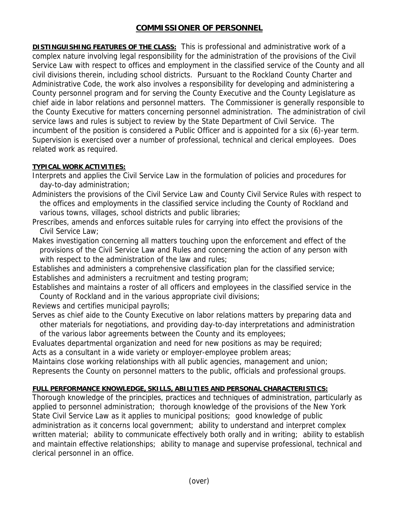## **COMMISSIONER OF PERSONNEL**

**DISTINGUISHING FEATURES OF THE CLASS:** This is professional and administrative work of a complex nature involving legal responsibility for the administration of the provisions of the Civil Service Law with respect to offices and employment in the classified service of the County and all civil divisions therein, including school districts. Pursuant to the Rockland County Charter and Administrative Code, the work also involves a responsibility for developing and administering a County personnel program and for serving the County Executive and the County Legislature as chief aide in labor relations and personnel matters. The Commissioner is generally responsible to the County Executive for matters concerning personnel administration. The administration of civil service laws and rules is subject to review by the State Department of Civil Service. The incumbent of the position is considered a Public Officer and is appointed for a six (6)-year term. Supervision is exercised over a number of professional, technical and clerical employees. Does related work as required.

## **TYPICAL WORK ACTIVITIES:**

Interprets and applies the Civil Service Law in the formulation of policies and procedures for day-to-day administration;

Administers the provisions of the Civil Service Law and County Civil Service Rules with respect to the offices and employments in the classified service including the County of Rockland and various towns, villages, school districts and public libraries;

Prescribes, amends and enforces suitable rules for carrying into effect the provisions of the Civil Service Law;

Makes investigation concerning all matters touching upon the enforcement and effect of the provisions of the Civil Service Law and Rules and concerning the action of any person with with respect to the administration of the law and rules;

Establishes and administers a comprehensive classification plan for the classified service; Establishes and administers a recruitment and testing program;

Establishes and maintains a roster of all officers and employees in the classified service in the County of Rockland and in the various appropriate civil divisions;

Reviews and certifies municipal payrolls;

Serves as chief aide to the County Executive on labor relations matters by preparing data and other materials for negotiations, and providing day-to-day interpretations and administration of the various labor agreements between the County and its employees;

Evaluates departmental organization and need for new positions as may be required;

Acts as a consultant in a wide variety or employer-employee problem areas;

Maintains close working relationships with all public agencies, management and union; Represents the County on personnel matters to the public, officials and professional groups.

## **FULL PERFORMANCE KNOWLEDGE, SKILLS, ABILITIES AND PERSONAL CHARACTERISTICS:**

Thorough knowledge of the principles, practices and techniques of administration, particularly as applied to personnel administration; thorough knowledge of the provisions of the New York State Civil Service Law as it applies to municipal positions; good knowledge of public administration as it concerns local government; ability to understand and interpret complex written material; ability to communicate effectively both orally and in writing; ability to establish and maintain effective relationships; ability to manage and supervise professional, technical and clerical personnel in an office.